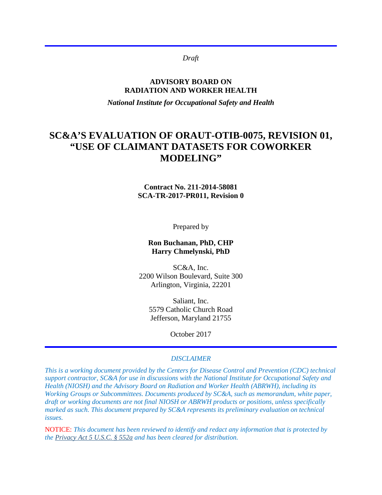*Draft*

#### **ADVISORY BOARD ON RADIATION AND WORKER HEALTH**

*National Institute for Occupational Safety and Health*

# **SC&A'S EVALUATION OF ORAUT-OTIB-0075, REVISION 01, "USE OF CLAIMANT DATASETS FOR COWORKER MODELING"**

#### **Contract No. 211-2014-58081 SCA-TR-2017-PR011, Revision 0**

Prepared by

#### **Ron Buchanan, PhD, CHP Harry Chmelynski, PhD**

SC&A, Inc. 2200 Wilson Boulevard, Suite 300 Arlington, Virginia, 22201

> Saliant, Inc. 5579 Catholic Church Road Jefferson, Maryland 21755

> > October 2017

#### *DISCLAIMER*

*This is a working document provided by the Centers for Disease Control and Prevention (CDC) technical support contractor, SC&A for use in discussions with the National Institute for Occupational Safety and Health (NIOSH) and the Advisory Board on Radiation and Worker Health (ABRWH), including its Working Groups or Subcommittees. Documents produced by SC&A, such as memorandum, white paper, draft or working documents are not final NIOSH or ABRWH products or positions, unless specifically marked as such. This document prepared by SC&A represents its preliminary evaluation on technical issues.*

NOTICE: *This document has been reviewed to identify and redact any information that is protected by the [Privacy Act 5 U.S.C. § 552a](http://www.justice.gov/opcl/privacy-act-1974) and has been cleared for distribution.*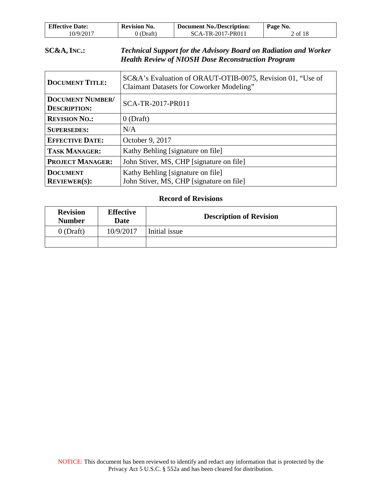| <b>Effective Date:</b> | <b>Revision No.</b> | <b>Document No./Description:</b> | Page No. |
|------------------------|---------------------|----------------------------------|----------|
| 10/9/2017              | 0 (Draft)           | SCA-TR-2017-PR011                | 2 of 18  |

### **SC&A, INC.:** *Technical Support for the Advisory Board on Radiation and Worker Health Review of NIOSH Dose Reconstruction Program*

| <b>DOCUMENT TITLE:</b>                         | SC&A's Evaluation of ORAUT-OTIB-0075, Revision 01, "Use of<br><b>Claimant Datasets for Coworker Modeling"</b> |  |
|------------------------------------------------|---------------------------------------------------------------------------------------------------------------|--|
| <b>DOCUMENT NUMBER/</b><br><b>DESCRIPTION:</b> | SCA-TR-2017-PR011                                                                                             |  |
| <b>REVISION NO.:</b>                           | $0$ (Draft)                                                                                                   |  |
| <b>SUPERSEDES:</b>                             | N/A                                                                                                           |  |
| <b>EFFECTIVE DATE:</b>                         | October 9, 2017                                                                                               |  |
| <b>TASK MANAGER:</b>                           | Kathy Behling [signature on file]                                                                             |  |
| <b>PROJECT MANAGER:</b>                        | John Stiver, MS, CHP [signature on file]                                                                      |  |
| <b>DOCUMENT</b><br>REVIEWER(S):                | Kathy Behling [signature on file]<br>John Stiver, MS, CHP [signature on file]                                 |  |

#### **Record of Revisions**

| <b>Revision</b><br><b>Number</b> | <b>Effective</b><br>Date | <b>Description of Revision</b> |  |
|----------------------------------|--------------------------|--------------------------------|--|
| $0$ (Draft)                      | 10/9/2017                | Initial issue                  |  |
|                                  |                          |                                |  |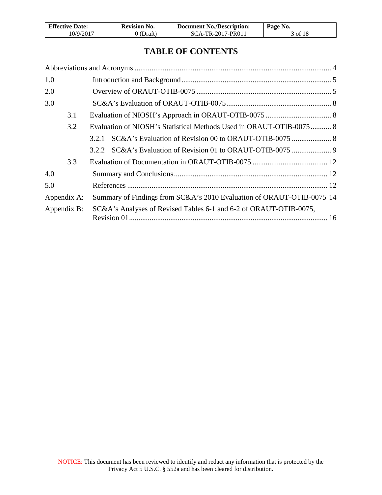| <b>Effective Date:</b> | Revision No. | <b>Document No./Description:</b> | Page No. |
|------------------------|--------------|----------------------------------|----------|
| 10/9/2017              | 0 (Draft)    | SCA-TR-2017-PR011                | 3 of 18  |

# **TABLE OF CONTENTS**

| 1.0         |                                                                       |  |
|-------------|-----------------------------------------------------------------------|--|
| 2.0         |                                                                       |  |
| 3.0         |                                                                       |  |
| 3.1         |                                                                       |  |
| 3.2         | Evaluation of NIOSH's Statistical Methods Used in ORAUT-OTIB-0075  8  |  |
|             | 3.2.1                                                                 |  |
|             |                                                                       |  |
| 3.3         |                                                                       |  |
| 4.0         |                                                                       |  |
| 5.0         |                                                                       |  |
| Appendix A: | Summary of Findings from SC&A's 2010 Evaluation of ORAUT-OTIB-0075 14 |  |
| Appendix B: | SC&A's Analyses of Revised Tables 6-1 and 6-2 of ORAUT-OTIB-0075,     |  |
|             |                                                                       |  |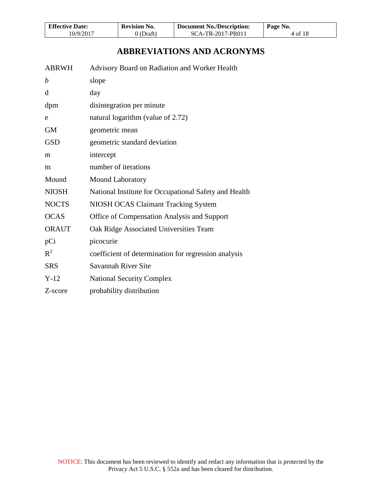| <b>Effective Date:</b> | <b>Revision No.</b> | <b>Document No./Description:</b> | Page No. |
|------------------------|---------------------|----------------------------------|----------|
| 10/9/2017              | 0 (Draft)           | SCA-TR-2017-PR011                | 4 of 18  |

# **ABBREVIATIONS AND ACRONYMS**

<span id="page-3-0"></span>

| <b>ABRWH</b>   | Advisory Board on Radiation and Worker Health         |
|----------------|-------------------------------------------------------|
| b              | slope                                                 |
| d              | day                                                   |
| dpm            | disintegration per minute                             |
| e              | natural logarithm (value of 2.72)                     |
| <b>GM</b>      | geometric mean                                        |
| <b>GSD</b>     | geometric standard deviation                          |
| $\mathfrak{m}$ | intercept                                             |
| m              | number of iterations                                  |
| Mound          | Mound Laboratory                                      |
| <b>NIOSH</b>   | National Institute for Occupational Safety and Health |
| <b>NOCTS</b>   | NIOSH OCAS Claimant Tracking System                   |
| <b>OCAS</b>    | Office of Compensation Analysis and Support           |
| <b>ORAUT</b>   | Oak Ridge Associated Universities Team                |
| pCi            | picocurie                                             |
| $\mathbb{R}^2$ | coefficient of determination for regression analysis  |
| <b>SRS</b>     | Savannah River Site                                   |
| $Y-12$         | <b>National Security Complex</b>                      |
| Z-score        | probability distribution                              |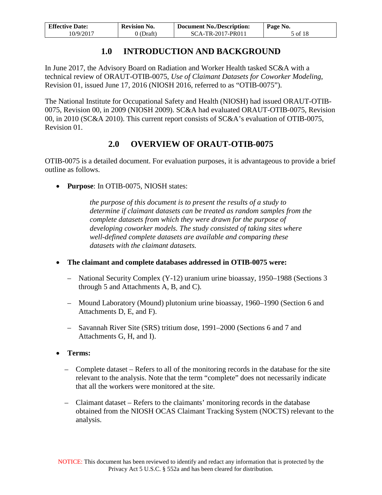| <b>Effective Date:</b> | <b>Revision No.</b> | <b>Document No./Description:</b> | Page No. |
|------------------------|---------------------|----------------------------------|----------|
| 10/9/2017              | 0 (Draft)           | SCA-TR-2017-PR011                | 5 of 18  |

# **1.0 INTRODUCTION AND BACKGROUND**

<span id="page-4-0"></span>In June 2017, the Advisory Board on Radiation and Worker Health tasked SC&A with a technical review of ORAUT-OTIB-0075, *Use of Claimant Datasets for Coworker Modeling*, Revision 01, issued June 17, 2016 (NIOSH 2016, referred to as "OTIB-0075").

The National Institute for Occupational Safety and Health (NIOSH) had issued ORAUT-OTIB-0075, Revision 00, in 2009 (NIOSH 2009). SC&A had evaluated ORAUT-OTIB-0075, Revision 00, in 2010 (SC&A 2010). This current report consists of SC&A's evaluation of OTIB-0075, Revision 01.

# **2.0 OVERVIEW OF ORAUT-OTIB-0075**

<span id="page-4-1"></span>OTIB-0075 is a detailed document. For evaluation purposes, it is advantageous to provide a brief outline as follows.

• **Purpose**: In OTIB-0075, NIOSH states:

*the purpose of this document is to present the results of a study to determine if claimant datasets can be treated as random samples from the complete datasets from which they were drawn for the purpose of developing coworker models. The study consisted of taking sites where well-defined complete datasets are available and comparing these datasets with the claimant datasets.* 

- **The claimant and complete databases addressed in OTIB-0075 were:** 
	- National Security Complex (Y-12) uranium urine bioassay, 1950–1988 (Sections 3 through 5 and Attachments A, B, and C).
	- Mound Laboratory (Mound) plutonium urine bioassay, 1960–1990 (Section 6 and Attachments D, E, and F).
	- Savannah River Site (SRS) tritium dose, 1991–2000 (Sections 6 and 7 and Attachments G, H, and I).
- **Terms:**
	- Complete dataset Refers to all of the monitoring records in the database for the site relevant to the analysis. Note that the term "complete" does not necessarily indicate that all the workers were monitored at the site.
	- Claimant dataset Refers to the claimants' monitoring records in the database obtained from the NIOSH OCAS Claimant Tracking System (NOCTS) relevant to the analysis.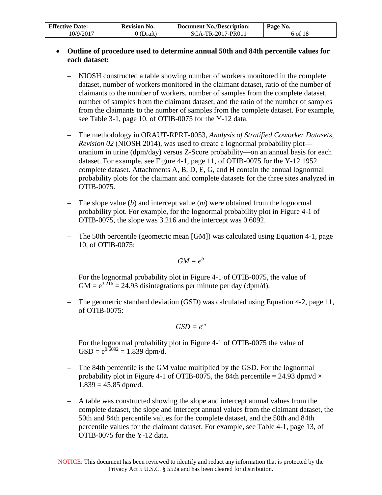| <b>Effective Date:</b> | <b>Revision No.</b> | <b>Document No./Description:</b> | Page No. |
|------------------------|---------------------|----------------------------------|----------|
| 10/9/2017              | 0 (Draft)           | SCA-TR-2017-PR011                | 6 of 18  |

#### • **Outline of procedure used to determine annual 50th and 84th percentile values for each dataset:**

- NIOSH constructed a table showing number of workers monitored in the complete dataset, number of workers monitored in the claimant dataset, ratio of the number of claimants to the number of workers, number of samples from the complete dataset, number of samples from the claimant dataset, and the ratio of the number of samples from the claimants to the number of samples from the complete dataset. For example, see Table 3-1, page 10, of OTIB-0075 for the Y-12 data.
- The methodology in ORAUT-RPRT-0053, *Analysis of Stratified Coworker Datasets, Revision 02* (NIOSH 2014), was used to create a lognormal probability plot uranium in urine (dpm/day) versus Z-Score probability—on an annual basis for each dataset. For example, see Figure 4-1, page 11, of OTIB-0075 for the Y-12 1952 complete dataset. Attachments A, B, D, E, G, and H contain the annual lognormal probability plots for the claimant and complete datasets for the three sites analyzed in OTIB-0075.
- The slope value (*b*) and intercept value (*m*) were obtained from the lognormal probability plot. For example, for the lognormal probability plot in Figure 4-1 of OTIB-0075, the slope was 3.216 and the intercept was 0.6092.
- The 50th percentile (geometric mean [GM]) was calculated using Equation 4-1, page 10, of OTIB-0075:

$$
GM = e^b
$$

For the lognormal probability plot in Figure 4-1 of OTIB-0075, the value of  $GM = e^{3.216} = 24.93$  disintegrations per minute per day (dpm/d).

– The geometric standard deviation (GSD) was calculated using Equation 4-2, page 11, of OTIB-0075:

$$
GSD = e^m
$$

For the lognormal probability plot in Figure 4-1 of OTIB-0075 the value of  $GSD = e^{0.6092} = 1.839$  dpm/d.

- The 84th percentile is the GM value multiplied by the GSD. For the lognormal probability plot in Figure 4-1 of OTIB-0075, the 84th percentile = 24.93 dpm/d  $\times$  $1.839 = 45.85$  dpm/d.
- A table was constructed showing the slope and intercept annual values from the complete dataset, the slope and intercept annual values from the claimant dataset, the 50th and 84th percentile values for the complete dataset, and the 50th and 84th percentile values for the claimant dataset. For example, see Table 4-1, page 13, of OTIB-0075 for the Y-12 data.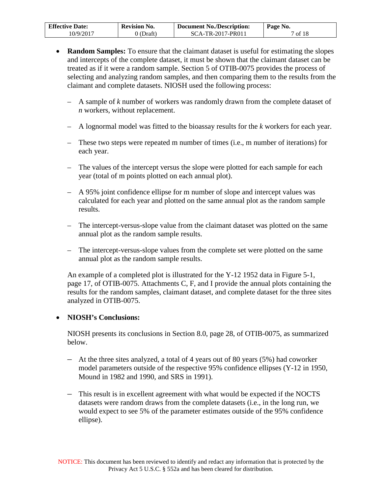| <b>Effective Date:</b> | <b>Revision No.</b> | <b>Document No./Description:</b> | Page No. |
|------------------------|---------------------|----------------------------------|----------|
| 10/9/2017              | 0 (Draft)           | SCA-TR-2017-PR011                | 7 of 18  |

- **Random Samples:** To ensure that the claimant dataset is useful for estimating the slopes and intercepts of the complete dataset, it must be shown that the claimant dataset can be treated as if it were a random sample. Section 5 of OTIB-0075 provides the process of selecting and analyzing random samples, and then comparing them to the results from the claimant and complete datasets. NIOSH used the following process:
	- A sample of *k* number of workers was randomly drawn from the complete dataset of *n* workers, without replacement.
	- A lognormal model was fitted to the bioassay results for the *k* workers for each year.
	- These two steps were repeated m number of times (i.e., m number of iterations) for each year.
	- The values of the intercept versus the slope were plotted for each sample for each year (total of m points plotted on each annual plot).
	- A 95% joint confidence ellipse for m number of slope and intercept values was calculated for each year and plotted on the same annual plot as the random sample results.
	- The intercept-versus-slope value from the claimant dataset was plotted on the same annual plot as the random sample results.
	- The intercept-versus-slope values from the complete set were plotted on the same annual plot as the random sample results.

An example of a completed plot is illustrated for the Y-12 1952 data in Figure 5-1, page 17, of OTIB-0075. Attachments C, F, and I provide the annual plots containing the results for the random samples, claimant dataset, and complete dataset for the three sites analyzed in OTIB-0075.

### • **NIOSH's Conclusions:**

NIOSH presents its conclusions in Section 8.0, page 28, of OTIB-0075, as summarized below.

- At the three sites analyzed, a total of 4 years out of 80 years (5%) had coworker model parameters outside of the respective 95% confidence ellipses (Y-12 in 1950, Mound in 1982 and 1990, and SRS in 1991).
- This result is in excellent agreement with what would be expected if the NOCTS datasets were random draws from the complete datasets (i.e., in the long run, we would expect to see 5% of the parameter estimates outside of the 95% confidence ellipse).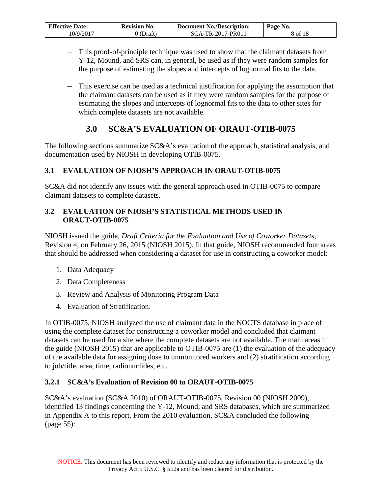| <b>Effective Date:</b> | <b>Revision No.</b> | <b>Document No./Description:</b> | Page No. |
|------------------------|---------------------|----------------------------------|----------|
| 10/9/2017              | J (Draft)           | SCA-TR-2017-PR011                | 8 of 18  |

- This proof-of-principle technique was used to show that the claimant datasets from Y-12, Mound, and SRS can, in general, be used as if they were random samples for the purpose of estimating the slopes and intercepts of lognormal fits to the data.
- This exercise can be used as a technical justification for applying the assumption that the claimant datasets can be used as if they were random samples for the purpose of estimating the slopes and intercepts of lognormal fits to the data to other sites for which complete datasets are not available.

# **3.0 SC&A'S EVALUATION OF ORAUT-OTIB-0075**

<span id="page-7-0"></span>The following sections summarize SC&A's evaluation of the approach, statistical analysis, and documentation used by NIOSH in developing OTIB-0075.

## <span id="page-7-1"></span>**3.1 EVALUATION OF NIOSH'S APPROACH IN ORAUT-OTIB-0075**

SC&A did not identify any issues with the general approach used in OTIB-0075 to compare claimant datasets to complete datasets.

## <span id="page-7-2"></span>**3.2 EVALUATION OF NIOSH'S STATISTICAL METHODS USED IN ORAUT-OTIB-0075**

NIOSH issued the guide, *Draft Criteria for the Evaluation and Use of Coworker Datasets*, Revision 4, on February 26, 2015 (NIOSH 2015). In that guide, NIOSH recommended four areas that should be addressed when considering a dataset for use in constructing a coworker model:

- 1. Data Adequacy
- 2. Data Completeness
- 3. Review and Analysis of Monitoring Program Data
- 4. Evaluation of Stratification.

In OTIB-0075, NIOSH analyzed the use of claimant data in the NOCTS database in place of using the complete dataset for constructing a coworker model and concluded that claimant datasets can be used for a site where the complete datasets are not available. The main areas in the guide (NIOSH 2015) that are applicable to OTIB-0075 are (1) the evaluation of the adequacy of the available data for assigning dose to unmonitored workers and (2) stratification according to job/title, area, time, radionuclides, etc.

## <span id="page-7-3"></span>**3.2.1 SC&A's Evaluation of Revision 00 to ORAUT-OTIB-0075**

SC&A's evaluation (SC&A 2010) of ORAUT-OTIB-0075, Revision 00 (NIOSH 2009), identified 13 findings concerning the Y-12, Mound, and SRS databases, which are summarized in Appendix A to this report. From the 2010 evaluation, SC&A concluded the following (page 55):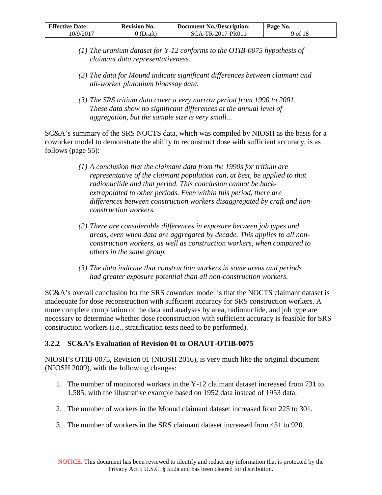| <b>Effective Date:</b> | <b>Revision No.</b> | <b>Document No./Description:</b> | Page No. |
|------------------------|---------------------|----------------------------------|----------|
| 10/9/2017              | 0 (Draft)           | SCA-TR-2017-PR011                | 9 of 18  |

- *(1) The uranium dataset for Y-12 conforms to the OTIB-0075 hypothesis of claimant data representativeness.*
- *(2) The data for Mound indicate significant differences between claimant and all-worker plutonium bioassay data.*
- *(3) The SRS tritium data cover a very narrow period from 1990 to 2001. These data show no significant differences at the annual level of aggregation, but the sample size is very small...*

SC&A's summary of the SRS NOCTS data, which was compiled by NIOSH as the basis for a coworker model to demonstrate the ability to reconstruct dose with sufficient accuracy, is as follows (page 55):

- *(1) A conclusion that the claimant data from the 1990s for tritium are representative of the claimant population can, at best, be applied to that radionuclide and that period. This conclusion cannot be backextrapolated to other periods. Even within this period, there are differences between construction workers disaggregated by craft and nonconstruction workers.*
- *(2) There are considerable differences in exposure between job types and areas, even when data are aggregated by decade. This applies to all nonconstruction workers, as well as construction workers, when compared to others in the same group.*
- *(3) The data indicate that construction workers in some areas and periods had greater exposure potential than all non-construction workers.*

SC&A's overall conclusion for the SRS coworker model is that the NOCTS claimant dataset is inadequate for dose reconstruction with sufficient accuracy for SRS construction workers. A more complete compilation of the data and analyses by area, radionuclide, and job type are necessary to determine whether dose reconstruction with sufficient accuracy is feasible for SRS construction workers (i.e., stratification tests need to be performed).

## <span id="page-8-0"></span>**3.2.2 SC&A's Evaluation of Revision 01 to ORAUT-OTIB-0075**

NIOSH's OTIB-0075, Revision 01 (NIOSH 2016), is very much like the original document (NIOSH 2009), with the following changes:

- 1. The number of monitored workers in the Y-12 claimant dataset increased from 731 to 1,585, with the illustrative example based on 1952 data instead of 1953 data.
- 2. The number of workers in the Mound claimant dataset increased from 225 to 301.
- 3. The number of workers in the SRS claimant dataset increased from 451 to 920.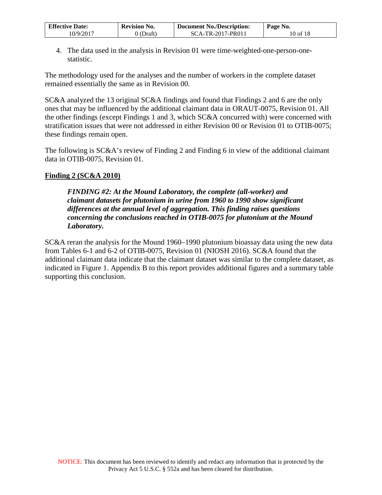| <b>Effective Date:</b> | <b>Revision No.</b> | <b>Document No./Description:</b> | Page No. |
|------------------------|---------------------|----------------------------------|----------|
| 10/9/2017              | (Draft)             | SCA-TR-2017-PR011                | 10 of 18 |

4. The data used in the analysis in Revision 01 were time-weighted-one-person-onestatistic.

The methodology used for the analyses and the number of workers in the complete dataset remained essentially the same as in Revision 00.

SC&A analyzed the 13 original SC&A findings and found that Findings 2 and 6 are the only ones that may be influenced by the additional claimant data in ORAUT-0075, Revision 01. All the other findings (except Findings 1 and 3, which SC&A concurred with) were concerned with stratification issues that were not addressed in either Revision 00 or Revision 01 to OTIB-0075; these findings remain open.

The following is SC&A's review of Finding 2 and Finding 6 in view of the additional claimant data in OTIB-0075, Revision 01.

### **Finding 2 (SC&A 2010)**

*FINDING #2: At the Mound Laboratory, the complete (all-worker) and claimant datasets for plutonium in urine from 1960 to 1990 show significant differences at the annual level of aggregation. This finding raises questions concerning the conclusions reached in OTIB-0075 for plutonium at the Mound Laboratory.* 

SC&A reran the analysis for the Mound 1960–1990 plutonium bioassay data using the new data from Tables 6-1 and 6-2 of OTIB-0075, Revision 01 (NIOSH 2016). SC&A found that the additional claimant data indicate that the claimant dataset was similar to the complete dataset, as indicated in Figure 1. Appendix B to this report provides additional figures and a summary table supporting this conclusion.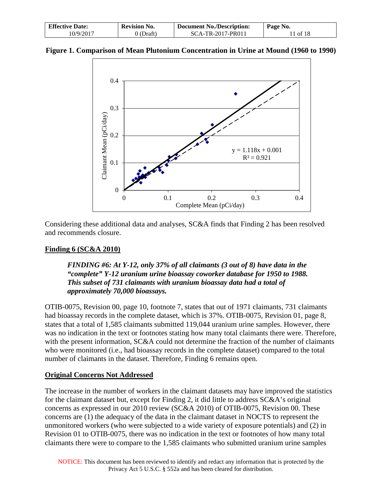| <b>Effective Date:</b><br><b>Revision No.</b> |           | <b>Document No./Description:</b> | Page No. |  |
|-----------------------------------------------|-----------|----------------------------------|----------|--|
| 10/9/2017                                     | 0 (Draft) | SCA-TR-2017-PR011                | 11 of 18 |  |





Considering these additional data and analyses, SC&A finds that Finding 2 has been resolved and recommends closure.

## **Finding 6 (SC&A 2010)**

*FINDING #6: At Y-12, only 37% of all claimants (3 out of 8) have data in the "complete" Y-12 uranium urine bioassay coworker database for 1950 to 1988. This subset of 731 claimants with uranium bioassay data had a total of approximately 70,000 bioassays.* 

OTIB-0075, Revision 00, page 10, footnote 7, states that out of 1971 claimants, 731 claimants had bioassay records in the complete dataset, which is 37%. OTIB-0075, Revision 01, page 8, states that a total of 1,585 claimants submitted 119,044 uranium urine samples. However, there was no indication in the text or footnotes stating how many total claimants there were. Therefore, with the present information, SC&A could not determine the fraction of the number of claimants who were monitored (i.e., had bioassay records in the complete dataset) compared to the total number of claimants in the dataset. Therefore, Finding 6 remains open.

### **Original Concerns Not Addressed**

The increase in the number of workers in the claimant datasets may have improved the statistics for the claimant dataset but, except for Finding 2, it did little to address SC&A's original concerns as expressed in our 2010 review (SC&A 2010) of OTIB-0075, Revision 00. These concerns are (1) the adequacy of the data in the claimant dataset in NOCTS to represent the unmonitored workers (who were subjected to a wide variety of exposure potentials) and (2) in Revision 01 to OTIB-0075, there was no indication in the text or footnotes of how many total claimants there were to compare to the 1,585 claimants who submitted uranium urine samples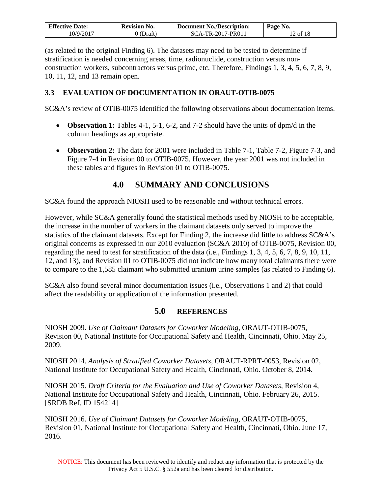| <b>Effective Date:</b> | <b>Revision No.</b> | <b>Document No./Description:</b> | Page No. |  |
|------------------------|---------------------|----------------------------------|----------|--|
| 10/9/2017              | J (Draft)           | SCA-TR-2017-PR011                | 12 of 18 |  |

(as related to the original Finding 6). The datasets may need to be tested to determine if stratification is needed concerning areas, time, radionuclide, construction versus nonconstruction workers, subcontractors versus prime, etc. Therefore, Findings 1, 3, 4, 5, 6, 7, 8, 9, 10, 11, 12, and 13 remain open.

### <span id="page-11-0"></span>**3.3 EVALUATION OF DOCUMENTATION IN ORAUT-OTIB-0075**

SC&A's review of OTIB-0075 identified the following observations about documentation items.

- **Observation 1:** Tables 4-1, 5-1, 6-2, and 7-2 should have the units of dpm/d in the column headings as appropriate.
- **Observation 2:** The data for 2001 were included in Table 7-1, Table 7-2, Figure 7-3, and Figure 7-4 in Revision 00 to OTIB-0075. However, the year 2001 was not included in these tables and figures in Revision 01 to OTIB-0075.

# **4.0 SUMMARY AND CONCLUSIONS**

<span id="page-11-1"></span>SC&A found the approach NIOSH used to be reasonable and without technical errors.

However, while SC&A generally found the statistical methods used by NIOSH to be acceptable, the increase in the number of workers in the claimant datasets only served to improve the statistics of the claimant datasets. Except for Finding 2, the increase did little to address SC&A's original concerns as expressed in our 2010 evaluation (SC&A 2010) of OTIB-0075, Revision 00, regarding the need to test for stratification of the data (i.e., Findings 1, 3, 4, 5, 6, 7, 8, 9, 10, 11, 12, and 13), and Revision 01 to OTIB-0075 did not indicate how many total claimants there were to compare to the 1,585 claimant who submitted uranium urine samples (as related to Finding 6).

SC&A also found several minor documentation issues (i.e., Observations 1 and 2) that could affect the readability or application of the information presented.

### **5.0 REFERENCES**

<span id="page-11-2"></span>NIOSH 2009. *Use of Claimant Datasets for Coworker Modeling*, ORAUT-OTIB-0075, Revision 00, National Institute for Occupational Safety and Health, Cincinnati, Ohio. May 25, 2009.

NIOSH 2014. *Analysis of Stratified Coworker Datasets*, ORAUT-RPRT-0053, Revision 02, National Institute for Occupational Safety and Health, Cincinnati, Ohio. October 8, 2014.

NIOSH 2015. *Draft Criteria for the Evaluation and Use of Coworker Datasets*, Revision 4, National Institute for Occupational Safety and Health, Cincinnati, Ohio. February 26, 2015. [SRDB Ref. ID 154214]

NIOSH 2016. *Use of Claimant Datasets for Coworker Modeling*, ORAUT-OTIB-0075, Revision 01, National Institute for Occupational Safety and Health, Cincinnati, Ohio. June 17, 2016.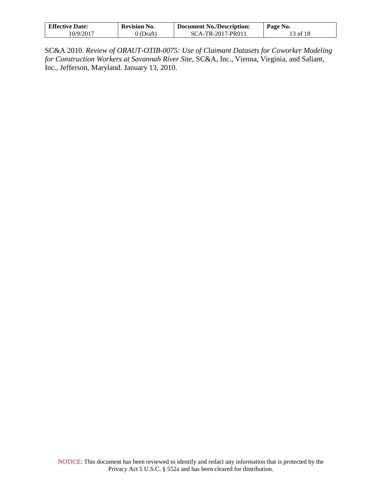| <b>Effective Date:</b> | <b>Revision No.</b> | <b>Document No./Description:</b> | Page No. |
|------------------------|---------------------|----------------------------------|----------|
| 10/9/2017              | (Draft)             | SCA-TR-2017-PR011                | 13 of 18 |

SC&A 2010. *Review of ORAUT-OTIB-0075: Use of Claimant Datasets for Coworker Modeling for Construction Workers at Savannah River Site*, SC&A, Inc., Vienna, Virginia, and Saliant, Inc., Jefferson, Maryland. January 13, 2010.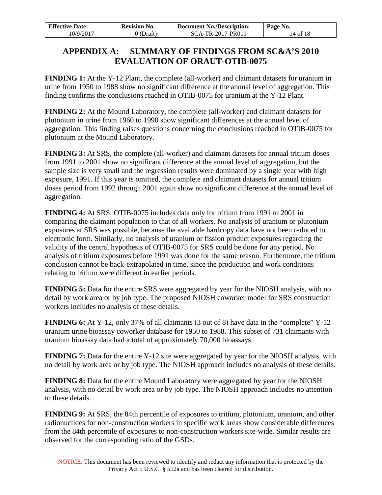| <b>Effective Date:</b> | <b>Revision No.</b> | <b>Document No./Description:</b> | Page No. |  |
|------------------------|---------------------|----------------------------------|----------|--|
| 10/9/2017              | ) (Draft)           | SCA-TR-2017-PR011                | 14 of 18 |  |

# <span id="page-13-0"></span>**APPENDIX A: SUMMARY OF FINDINGS FROM SC&A'S 2010 EVALUATION OF ORAUT-OTIB-0075**

**FINDING 1:** At the Y-12 Plant, the complete (all-worker) and claimant datasets for uranium in urine from 1950 to 1988 show no significant difference at the annual level of aggregation. This finding confirms the conclusions reached in OTIB-0075 for uranium at the Y-12 Plant.

**FINDING 2:** At the Mound Laboratory, the complete (all-worker) and claimant datasets for plutonium in urine from 1960 to 1990 show significant differences at the annual level of aggregation. This finding raises questions concerning the conclusions reached in OTIB-0075 for plutonium at the Mound Laboratory.

**FINDING 3:** At SRS, the complete (all-worker) and claimant datasets for annual tritium doses from 1991 to 2001 show no significant difference at the annual level of aggregation, but the sample size is very small and the regression results were dominated by a single year with high exposure, 1991. If this year is omitted, the complete and claimant datasets for annual tritium doses period from 1992 through 2001 again show no significant difference at the annual level of aggregation.

**FINDING 4:** At SRS, OTIB-0075 includes data only for tritium from 1991 to 2001 in comparing the claimant population to that of all workers. No analysis of uranium or plutonium exposures at SRS was possible, because the available hardcopy data have not been reduced to electronic form. Similarly, no analysis of uranium or fission product exposures regarding the validity of the central hypothesis of OTIB-0075 for SRS could be done for any period. No analysis of tritium exposures before 1991 was done for the same reason. Furthermore, the tritium conclusion cannot be back-extrapolated in time, since the production and work conditions relating to tritium were different in earlier periods.

**FINDING 5:** Data for the entire SRS were aggregated by year for the NIOSH analysis, with no detail by work area or by job type. The proposed NIOSH coworker model for SRS construction workers includes no analysis of these details.

**FINDING 6:** At Y-12, only 37% of all claimants (3 out of 8) have data in the "complete" Y-12 uranium urine bioassay coworker database for 1950 to 1988. This subset of 731 claimants with uranium bioassay data had a total of approximately 70,000 bioassays.

**FINDING 7:** Data for the entire Y-12 site were aggregated by year for the NIOSH analysis, with no detail by work area or by job type. The NIOSH approach includes no analysis of these details.

**FINDING 8:** Data for the entire Mound Laboratory were aggregated by year for the NIOSH analysis, with no detail by work area or by job type. The NIOSH approach includes no attention to these details.

**FINDING 9:** At SRS, the 84th percentile of exposures to tritium, plutonium, uranium, and other radionuclides for non-construction workers in specific work areas show considerable differences from the 84th percentile of exposures to non-construction workers site-wide. Similar results are observed for the corresponding ratio of the GSDs.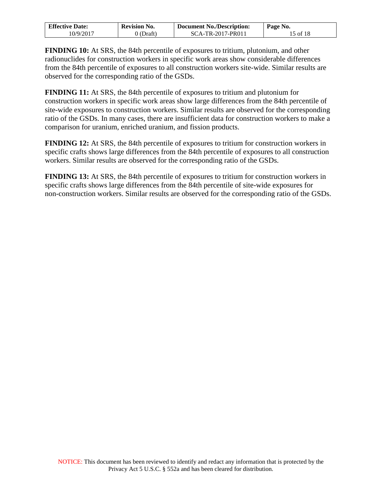| <b>Effective Date:</b> | <b>Revision No.</b> | <b>Document No./Description:</b> | Page No. |
|------------------------|---------------------|----------------------------------|----------|
| 10/9/2017              | 0 (Draft)           | SCA-TR-2017-PR011                | 15 of 18 |

**FINDING 10:** At SRS, the 84th percentile of exposures to tritium, plutonium, and other radionuclides for construction workers in specific work areas show considerable differences from the 84th percentile of exposures to all construction workers site-wide. Similar results are observed for the corresponding ratio of the GSDs.

**FINDING 11:** At SRS, the 84th percentile of exposures to tritium and plutonium for construction workers in specific work areas show large differences from the 84th percentile of site-wide exposures to construction workers. Similar results are observed for the corresponding ratio of the GSDs. In many cases, there are insufficient data for construction workers to make a comparison for uranium, enriched uranium, and fission products.

**FINDING 12:** At SRS, the 84th percentile of exposures to tritium for construction workers in specific crafts shows large differences from the 84th percentile of exposures to all construction workers. Similar results are observed for the corresponding ratio of the GSDs.

**FINDING 13:** At SRS, the 84th percentile of exposures to tritium for construction workers in specific crafts shows large differences from the 84th percentile of site-wide exposures for non-construction workers. Similar results are observed for the corresponding ratio of the GSDs.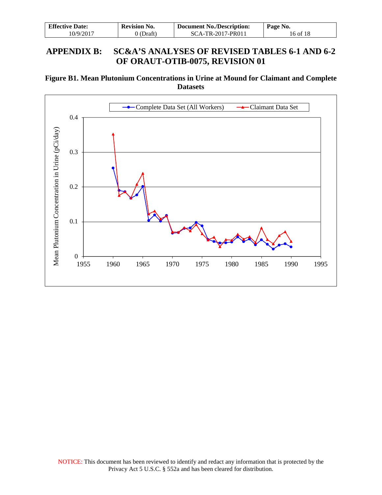| <b>Effective Date:</b> | <b>Revision No.</b> | Document No./Description: | Page No. |  |
|------------------------|---------------------|---------------------------|----------|--|
| 10/9/2017              | 0 (Draft)           | SCA-TR-2017-PR011         | 16 of 18 |  |

## <span id="page-15-0"></span>**APPENDIX B: SC&A'S ANALYSES OF REVISED TABLES 6-1 AND 6-2 OF ORAUT-OTIB-0075, REVISION 01**

**Figure B1. Mean Plutonium Concentrations in Urine at Mound for Claimant and Complete Datasets**

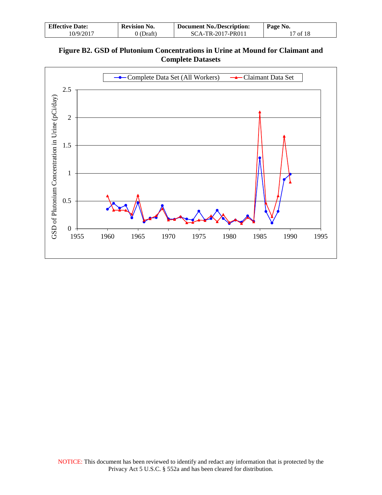| <b>Effective Date:</b> | <b>Revision No.</b> | <b>Document No./Description:</b> | Page No.         |  |
|------------------------|---------------------|----------------------------------|------------------|--|
| 10/9/2017              | 0 (Draft)           | SCA-TR-2017-PR011                | $\sqrt{7}$ of 18 |  |